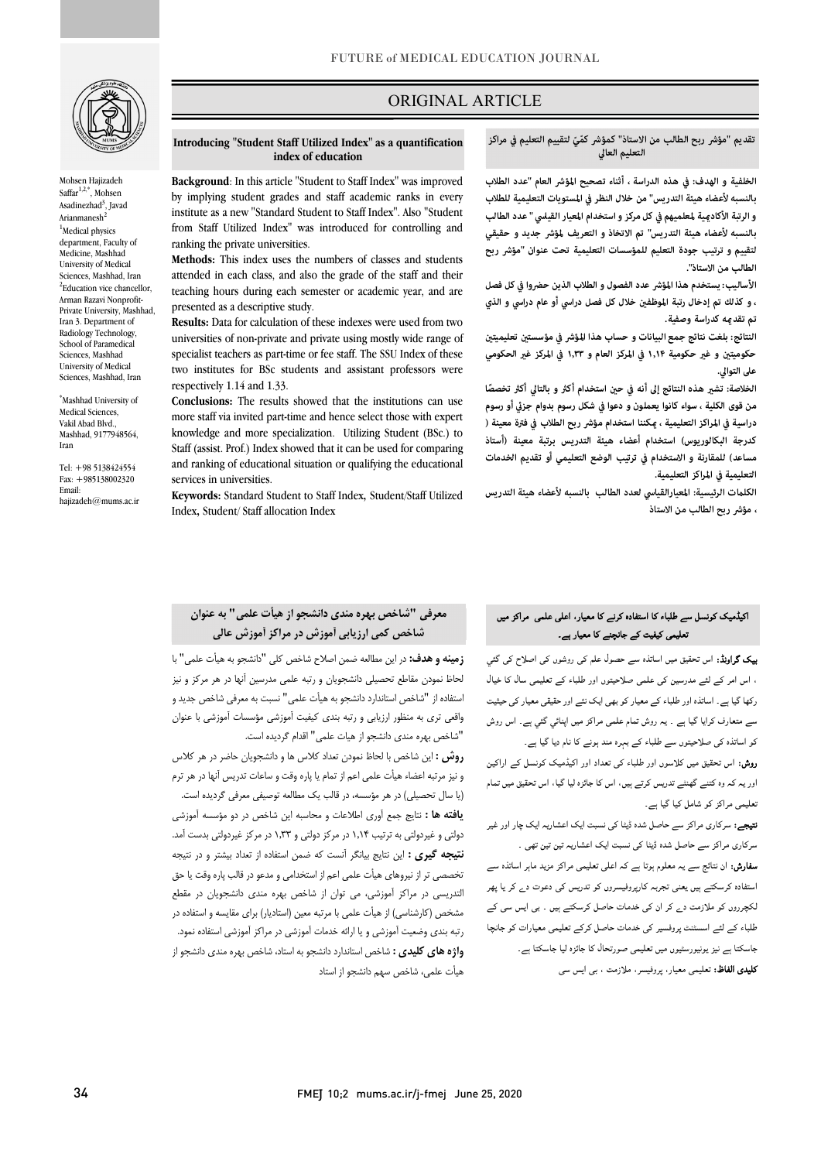

Mohsen Hajizadeh Saffar<sup>1,2,\*</sup>, Mohsen Asadinezhad<sup>3</sup>, Javad Arianmanesh<sup>2</sup> <sup>1</sup>Medical physics department, Faculty of Medicine, Mashhad University of Medical Sciences, Mashhad, Iran <sup>2</sup>Education vice chancellor, Arman Razavi Nonprofit-Private University, Mashhad, Iran 3. Department of Radiology Technology, School of Paramedical Sciences, Mashhad University of Medical Sciences, Mashhad, Iran

\* Mashhad University of Medical Sciences, Vakil Abad Blvd., Mashhad, 9177948564, Iran

Tel: +98 5138424554 Fax: +985138002320 Email: hajizadeh@mums.ac.ir

# ORIGINAL ARTICLE

# **التعليم العالي ّكم لتقييم التعليم في مراكز ّي تقديم "مؤشر ربح الطالب من الاستاذ" كمؤشر**

ص

 **Background**: In this article "Student to Staff Index" was improved institute as a new "Standard Student to Staff Index". Also "Student from Staff Utilized Index" was introduced for controlling and by implying student grades and staff academic ranks in every ranking the private universities.

Ī

 attended in each class, and also the grade of the staff and their teaching hours during each semester or academic year, and are **Methods:** This index uses the numbers of classes and students presented as a descriptive study.

**Introducing "Student Staff Utilized Index" as a quantification** 

**index of education**

 **Results:** Data for calculation of these indexes were used from two specialist teachers as part-time or fee staff. The SSU Index of these two institutes for BSc students and assistant professors were universities of non-private and private using mostly wide range of respectively 1.14 and 1.33.

 **Conclusions:** The results showed that the institutions can use knowledge and more specialization. Utilizing Student (BSc.) to Staff (assist. Prof.) Index showed that it can be used for comparing and ranking of educational situation or qualifying the educational more staff via invited part-time and hence select those with expert services in universities.

 **Keywords:** Standard Student to Staff Index**,** Student/Staff Utilized Index**,** Student/ Staff allocation Index

# **الخلفية و الهدف: في هذه الدراسة ، أثناء تصحيح المؤشر العام "عدد الطلاب بالنسبه لأعضاء هيئة التدريس" من خلال النظر في المستويات التعليمية للطلاب بالنسبه لأعضاء هيئة التدريس" تم الاتخاذ و التعریف لمؤشر جديد و حقيقي لتقييم و ترتيب جودة التعليم للمؤسسات التعليمية تحت عنوان "مؤشر ربح الطالب من الاستاذ". و الرتبة الأكادية لمعلميهم في كل مركز و استخدام المعيار القياسي " عدد الطالب**

الأساليب: يستخدم هذا المؤشر عدد الفصول و الطلاب الذين حضروا في كل فصل **، و كذلك تم إدخال رتبة الموظف خلال كل فصل دراسي أو عام دراسي و الذي تم تقده كدراسة وصفية.** 

 $\overline{\phantom{a}}$ حكوميتين و غير حكومية ۱٫۱۴ في المركز العام و ۱٫۳۳ في المركز غير الحكومي<br>مل التمال **النتائج: بلغت نتائج جمع البيانات و حساب هذا المؤشر في مؤسست تعليميت على التوالي.** 

الخلاصة: تشير هذه النتائج إلى أنه في حين استخدام أكثر و بالتالي أكثر تخصصًا **من قوى الكلية ، سواء كانوا يعملون و دعوا في شكل رسوم بدوام جز أو رسوم دراسية في المراكز التعليمية ، كننا استخدام مؤشر ربح الطلاب في فترة معينة ( کدرجة البكالوريوس) استخدام أعضاء هيئة التدريس برتبة معينة (أستاذ مساعد) للمقارنة و الاستخدام في ترتيب الوضع التعليمي أو تقديم الخدمات التعليمية في المراكز التعليمية.** 

 **الكلت الرئيسية: المعيارالقياسي لعدد الطالب بالنسبه لأعضاء هيئة التدريس ، مؤشر ربح الطالب من الاستاذ** 

#### ٦ نعلیمی کیفیت کے جانچنے کا معیار ہے۔<br>۔ اکیڈمیک کونسل سے طلباء کا استفادہ کرنے کا معیار، اعلی علمی مراکز میں

**یپک گراونڈ:** اس تحقیق میں اساتذہ سے حصول علم کی روشوں کی اصلاح کی گئب<sub>ی</sub> ، اس امر کے لئے مدرسین کی علمی صلاحیتوں اور طلباء کے تعلیمی سال کا خیال رکھا گیا ہے۔ اساتذہ اور طلباء کے معیار کو بھی ایک نئے اور حقیقی معیار کی حیثیت سے متعارف کرایا گیا ہے ۔ یہ روش تمام علمی مراکز میں اپنائي گئي ہے۔ اس روش کو اساتذہ کی صلاحیتوں سے طلباء کے بہرہ مند ہونے کا نام دیا گیا ہے۔

**روش:** اس تحقیق میں کلاسوں اور طلباء کی تعداد اور اکیڈمیک کونسل کے اراکین اور یہ کہ وہ کتنے گھنٹے تدریس کرتے ہیں، اس کا جائزہ لیا گیا، اس تحقیق میں تمام نعلیمی مراکز کو شامل کیا گیا ہے۔

ن**تیجے:** سرکاری مراکز سے حاصل شدہ ڈیٹا کی نسبت ایک اعشاریہ ایک چار اور غیر سرکاری مراکز سے حاصل شدہ ڈیٹا کی نسبت ایک اعشاریہ تین تین تھی ۔

**سفارش:** ان نتائج سے یہ معلوم ہوتا ہے کہ اعلی تعلیمی مراکز مزید ماہر اساتذہ سے استفادہ کرسکتے ہیں یعنی تجربہ کارپروفیسروں کو تدریس کی دعوت د<sub>ے</sub> کر یا پھر .<br>لکچرروں کو ملازمت د<sub>ے</sub> کر ان کی خدمات حاصل کرسکتے ہیں ۔ بی ایس سی کے ۔<br>طلباء کے لئے اسسٹنٹ پروفسیر کی خدمات حاصل کرکے تعلیمی معیارات کو جانچا ۔<br>جاسکتا ہے نیز یونیورسٹیوں میں تعلیمی صورتحال کا جائزہ لیا جاسکتا ہے۔ **ندیدی الفاظ:** تعلیمی معیار، پروفیسر، ملازمت ، بی ایس سی

# **معرفی "شاخص بهره مندي دانشجو از هیأت علمی" به عنوان**  .<br>. **شاخص کمی ارزیابی آموزش در مراکز آموزش عالی**

 **زمینه و هدف:** در این مطالعه ضمن اصلاح شاخص کلی "دانشجو به هیأت علمی" با لحاظ نمودن مقاطع تحصیلی دانشجویان و رتبه علمی مدرسین آنها در هر مرکز و نیز استفاده از "شاخص استاندارد دانشجو به هیأت علمی" نسبت به معرفی شاخص جدید و واقعی تري به منظور ارزیابی و رتبه بندي کیفیت آموزشی مؤسسات آموزشی با عنوان "شاخص بهره مندي دانشجو از هیات علمی" اقدام گردیده است.

 **روش :** این شاخص با لحاظ نمودن تعداد کلاس ها و دانشجویان حاضر در هر کلاس و نیز مرتبه اعضاء هیأت علمی اعم از تمام یا پاره وقت و ساعات تدریس آنها در هر ترم (یا سال تحصیلی) در هر مؤسسه، در قالب یک مطالعه توصیفی معرفی گردیده است. ĺ دولتی و غیردولتی به ترتیب 1,14 در مرکز دولتی و 1,33 در مرکز غیردولتی بدست آمد. Ī مشخص (کارشناسی) از هیأت علمی با مرتبه معین (استادیار) براي مقایسه و استفاده در رتبه بندي وضعیت آموزشی و یا ارائه خدمات آموزشی در مراکز آموزشی استفاده نمود. **واژه هاي کلیدي :** شاخص استاندارد دانشجو به استاد، شاخص بهره مندي دانشجو از هیأت علمی، شاخص سهم دانشجو از استاد **یافته ها :** نتایج جمع آوري اطلاعات و محاسبه این شاخص در دو مؤسسه آموزشی **نتیجه گیري :** این نتایج بیانگر آنست که ضمن استفاده از تعداد بیشتر و در نتیجه تخصصی تر از نیروهاي هیأت علمی اعم از استخدامی و مدعو در قالب پاره وقت یا حق التدریسی در مراکز آموزشی، می توان از شاخص بهره مندي دانشجویان در مقطع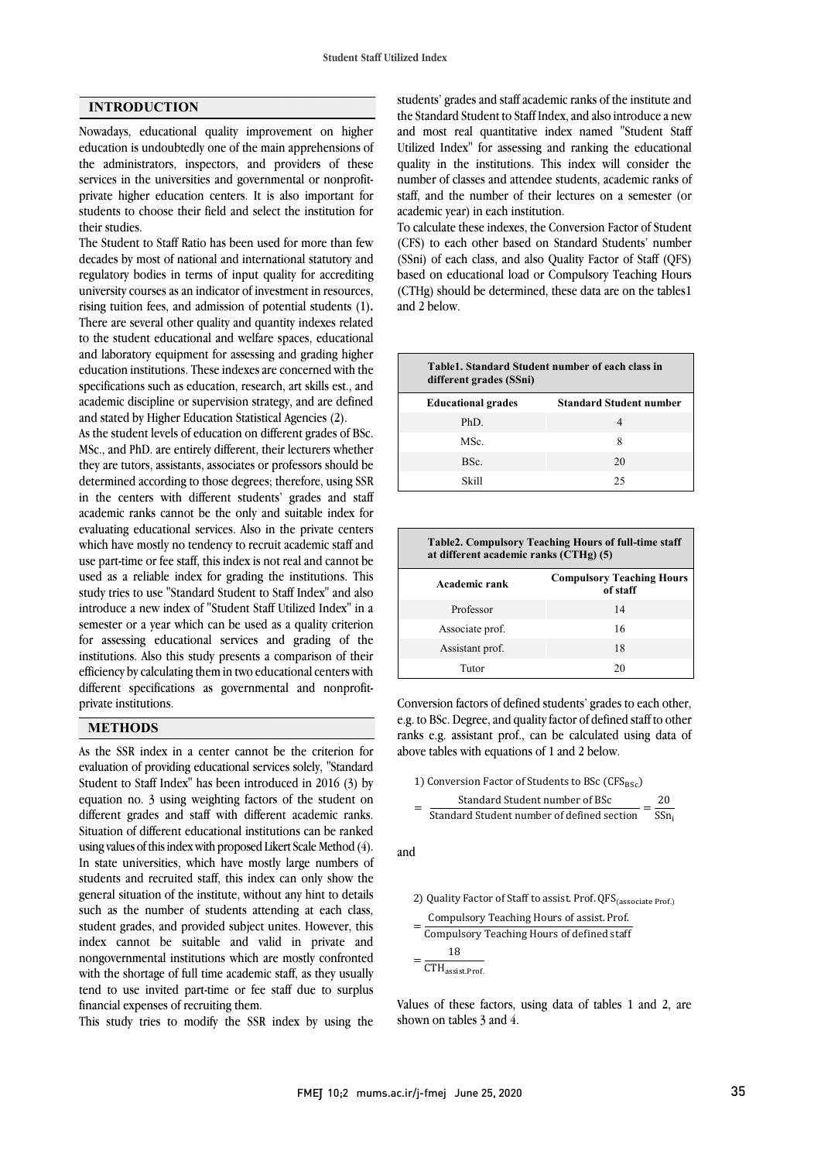#### **INTRODUCTION**

Nowadays, educational quality improvement on higher education is undoubtedly one of the main apprehensions of the administrators, inspectors, and providers of these services in the universities and governmental or nonprofitprivate higher education centers. It is also important for students to choose their field and select the institution for their studies.

The Student to Staff Ratio has been used for more than few decades by most of national and international statutory and regulatory bodies in terms of input quality for accrediting university courses as an indicator of investment in resources, rising tuition fees, and admission of potential students (1)**.**  There are several other quality and quantity indexes related to the student educational and welfare spaces, educational and laboratory equipment for assessing and grading higher education institutions. These indexes are concerned with the specifications such as education, research, art skills est., and academic discipline or supervision strategy, and are defined and stated by Higher Education Statistical Agencies (2).

As the student levels of education on different grades of BSc. MSc., and PhD. are entirely different, their lecturers whether they are tutors, assistants, associates or professors should be determined according to those degrees; therefore, using SSR in the centers with different students' grades and staff academic ranks cannot be the only and suitable index for evaluating educational services. Also in the private centers which have mostly no tendency to recruit academic staff and use part-time or fee staff, this index is not real and cannot be used as a reliable index for grading the institutions. This study tries to use "Standard Student to Staff Index" and also introduce a new index of "Student Staff Utilized Index" in a semester or a year which can be used as a quality criterion for assessing educational services and grading of the institutions. Also this study presents a comparison of their efficiency by calculating them in two educational centers with different specifications as governmental and nonprofitprivate institutions.

### **METHODS**

As the SSR index in a center cannot be the criterion for evaluation of providing educational services solely, "Standard Student to Staff Index" has been introduced in 2016 (3) by equation no. 3 using weighting factors of the student on different grades and staff with different academic ranks. Situation of different educational institutions can be ranked using values of this index with proposed Likert Scale Method (4). In state universities, which have mostly large numbers of students and recruited staff, this index can only show the general situation of the institute, without any hint to details such as the number of students attending at each class, student grades, and provided subject unites. However, this index cannot be suitable and valid in private and nongovernmental institutions which are mostly confronted with the shortage of full time academic staff, as they usually tend to use invited part-time or fee staff due to surplus financial expenses of recruiting them.

This study tries to modify the SSR index by using the

 the Standard Student to Staff Index, and also introduce a new and most real quantitative index named "Student Staff Utilized Index" for assessing and ranking the educational quality in the institutions. This index will consider the staff, and the number of their lectures on a semester (or academic year) in each institution. students' grades and staff academic ranks of the institute and number of classes and attendee students, academic ranks of

 To calculate these indexes, the Conversion Factor of Student (CFS) to each other based on Standard Students' number based on educational load or Compulsory Teaching Hours (CTHg) should be determined, these data are on the tables1 and 2 below. (SSni) of each class, and also Quality Factor of Staff (QFS)

| Table1. Standard Student number of each class in<br>different grades (SSni) |                                |  |  |  |  |  |
|-----------------------------------------------------------------------------|--------------------------------|--|--|--|--|--|
| <b>Educational grades</b>                                                   | <b>Standard Student number</b> |  |  |  |  |  |
| PhD.                                                                        | 4                              |  |  |  |  |  |
| MSc.                                                                        | 8                              |  |  |  |  |  |
| BSc.                                                                        | 20                             |  |  |  |  |  |
| Skill                                                                       | 25                             |  |  |  |  |  |
|                                                                             |                                |  |  |  |  |  |

| Table2. Compulsory Teaching Hours of full-time staff<br>at different academic ranks (CTHg) (5) |                                              |  |  |  |  |  |
|------------------------------------------------------------------------------------------------|----------------------------------------------|--|--|--|--|--|
| Academic rank                                                                                  | <b>Compulsory Teaching Hours</b><br>of staff |  |  |  |  |  |
| Professor                                                                                      | 14                                           |  |  |  |  |  |
| Associate prof.                                                                                | 16                                           |  |  |  |  |  |
| Assistant prof.                                                                                | 18                                           |  |  |  |  |  |
| Tutor                                                                                          | 20                                           |  |  |  |  |  |

 Conversion factors of defined students' grades to each other, e.g. to BSc. Degree, and quality factor of defined staff to other above tables with equations of 1 and 2 below. ranks e.g. assistant prof., can be calculated using data of

1) Conversion Factor of Students to BSc (CFS<sub>BSc</sub>)

$$
= \frac{\text{Standard Student number of BSc}}{\text{Standard Student number of defined section}} = \frac{20}{\text{SSn}_1}
$$

and

I

2) Quality Factor of Staff to assist. Prof. QFS<sub>(associate Prof.)</sub>

 <sup>=</sup> Compulsory Teaching Hours of assist. Prof. Compulsory Teaching Hours of defined staff

```
= \frac{18}{\text{CTH}_{\text{assist.Prof.}}}
```
֖֖֖֖֖֖֖֖֪֪֪֦֚֚֚֚֚֚֚֚֚֚֬֝֓֝֓֬֝֓֬֝֬֝֓֬֝֓֬֝֓֬֝֓֓֬

 Values of these factors, using data of tables 1 and 2, are shown on tables 3 and 4.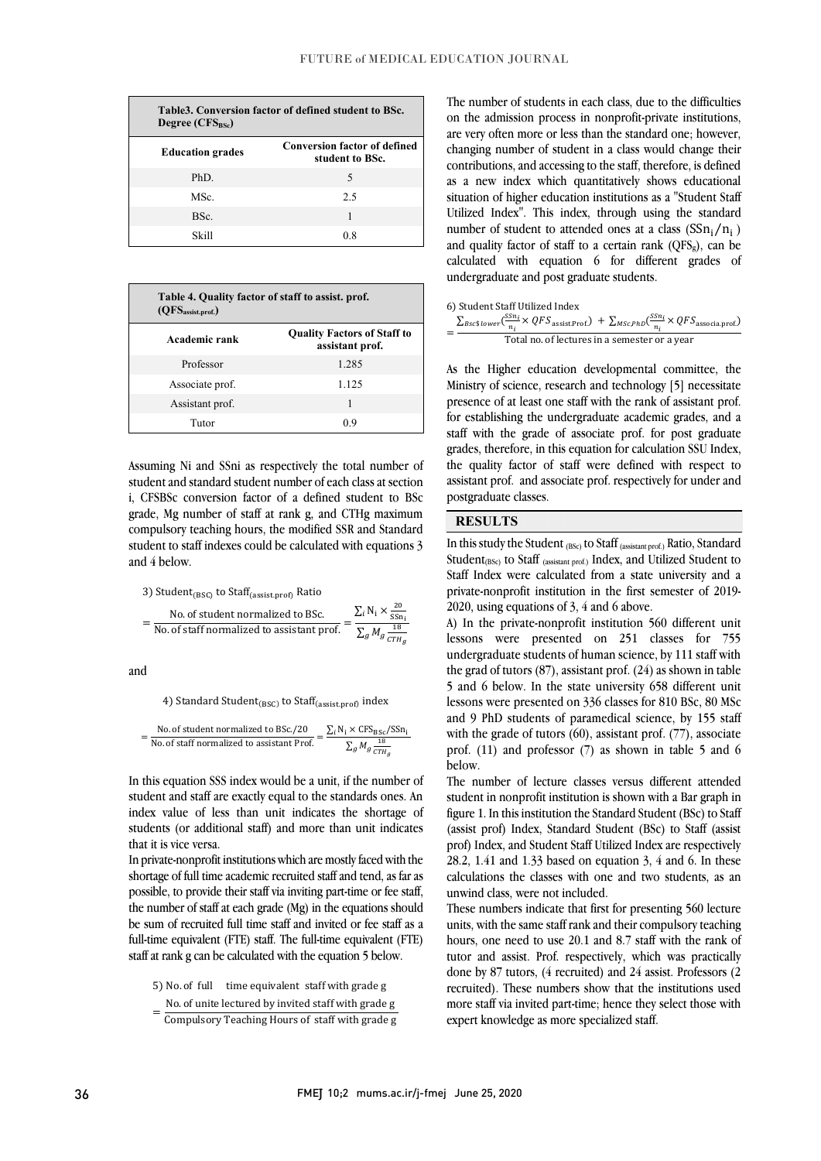| Table3. Conversion factor of defined student to BSc.<br>Degree $(CFS_{BSc})$ |                                                        |  |  |  |  |
|------------------------------------------------------------------------------|--------------------------------------------------------|--|--|--|--|
| <b>Education grades</b>                                                      | <b>Conversion factor of defined</b><br>student to BSc. |  |  |  |  |
| PhD.                                                                         | 5                                                      |  |  |  |  |
| MSc.                                                                         | 2.5                                                    |  |  |  |  |
| BSc.                                                                         | 1                                                      |  |  |  |  |
| Skill                                                                        | 0.8                                                    |  |  |  |  |
|                                                                              |                                                        |  |  |  |  |

| Table 4. Quality factor of staff to assist. prof.<br>$(QFSassert.py,post)$ |                                                       |  |  |  |  |
|----------------------------------------------------------------------------|-------------------------------------------------------|--|--|--|--|
| Academic rank                                                              | <b>Quality Factors of Staff to</b><br>assistant prof. |  |  |  |  |
| Professor                                                                  | 1.285                                                 |  |  |  |  |
| Associate prof.                                                            | 1.125                                                 |  |  |  |  |
| Assistant prof.                                                            | 1                                                     |  |  |  |  |
| Tutor                                                                      | 0.9                                                   |  |  |  |  |

 Assuming Ni and SSni as respectively the total number of student and standard student number of each class at section i, CFSBSc conversion factor of a defined student to BSc compulsory teaching hours, the modified SSR and Standard student to staff indexes could be calculated with equations 3 grade, Mg number of staff at rank g, and CTHg maximum and 4 below.

3) Student<sub>(BSC)</sub> to Staff<sub>(assist.prof)</sub> Ratio

$$
= \frac{\text{No. of student normalized to BSc.}}{\text{No. of staff normalized to assistant prof.}} = \frac{\sum_{i} N_i \times \frac{20}{\text{SSn}_i}}{\sum_{g} M_g \frac{18}{\text{CTH}_g}}
$$

and

4) Standard Student<sub>(BSC)</sub> to Staff<sub>(assist.prof)</sub> index

= No. of student normalized to BSc/20  
No. of staff normalized to assistant Prof. = 
$$
\frac{\sum_i N_i \times CFS_{BSc}/SSn_i}{\sum_g M_g \frac{18}{CTH_g}}
$$

 In this equation SSS index would be a unit, if the number of index value of less than unit indicates the shortage of students (or additional staff) and more than unit indicates student and staff are exactly equal to the standards ones. An that it is vice versa.

 In private-nonprofit institutions which are mostly faced with the shortage of full time academic recruited staff and tend, as far as the number of staff at each grade (Mg) in the equations should be sum of recruited full time staff and invited or fee staff as a full-time equivalent (FTE) staff. The full-time equivalent (FTE) staff at rank g can be calculated with the equation 5 below. possible, to provide their staff via inviting part-time or fee staff,

- 5) No. of full time equivalent staff with grade g
- No. of unite lectured by invited staff with grade g

 The number of students in each class, due to the difficulties are very often more or less than the standard one; however, changing number of student in a class would change their contributions,and accessing to the staff, therefore, is defined as a new index which quantitatively shows educational Utilized Index". This index, through using the standard number of student to attended ones at a class  $(SSn_i/n_i)$ and quality factor of staff to a certain rank  $(QFS<sub>g</sub>)$ , can be calculated with equation 6 for different grades of on the admission process in nonprofit-private institutions, situation of higher education institutions as a "Student Staff undergraduate and post graduate students.

6) Student Staff Utilized Index  
\n
$$
= \frac{\sum_{Bsc\$ lower} \left(\frac{SSn_i}{n_i} \times QFS_{\text{assert}}\right) + \sum_{Msc,PhD} \left(\frac{SSn_i}{n_i} \times QFS_{\text{associaprot}}\right)}{\text{Total no. of lectures in a semester or a year}}
$$

 As the Higher education developmental committee, the Ministry of science, research and technology [5] necessitate presence of at least one staff with the rank of assistant prof. staff with the grade of associate prof. for post graduate grades, therefore, in this equation for calculation SSU Index, the quality factor of staff were defined with respect to assistant prof. and associate prof. respectively for under and  $\overline{a}$ for establishing the undergraduate academic grades, and a postgraduate classes.

#### **RESULTS**

In this study the Student  $_{(BSc)}$  to Staff  $_{(assistant\,prot.)}$  Ratio, Standard Student $_{(BSC)}$  to Staff  $_{(assignment\,prot.)}$  Index, and Utilized Student to private-nonprofit institution in the first semester of 2019- Staff Index were calculated from a state university and a 2020, using equations of 3, 4 and 6 above.

 A) In the private-nonprofit institution 560 different unit lessons were presented on 251 classes for 755 the grad of tutors  $(87)$ , assistant prof.  $(24)$  as shown in table 5 and 6 below. In the state university 658 different unit lessons were presented on 336 classes for 810 BSc, 80 MSc and 9 PhD students of paramedical science, by 155 staff prof. (11) and professor (7) as shown in table 5 and 6 undergraduate students of human science, by 111 staff with with the grade of tutors (60), assistant prof. (77), associate below.

 The number of lecture classes versus different attended student in nonprofit institution is shown with a Bar graph in (assist prof) Index, Standard Student (BSc) to Staff (assist prof) Index, and Student Staff Utilized Index are respectively 28.2, 1.41 and 1.33 based on equation 3, 4 and 6. In these calculations the classes with one and two students, as an figure 1. In this institution the Standard Student (BSc) to Staff unwind class, were not included.

 These numbers indicate that first for presenting 560 lecture units, with the same staff rank and their compulsory teaching hours, one need to use 20.1 and 8.7 staff with the rank of tutor and assist. Prof. respectively, which was practically recruited). These numbers show that the institutions used more staff via invited part-time; hence they select those with done by 87 tutors, (4 recruited) and 24 assist. Professors (2 expert knowledge as more specialized staff.

 <sup>=</sup> No. of unite lectured by invited staff with grade <sup>g</sup> Compulsory Teaching Hours of staff with grade g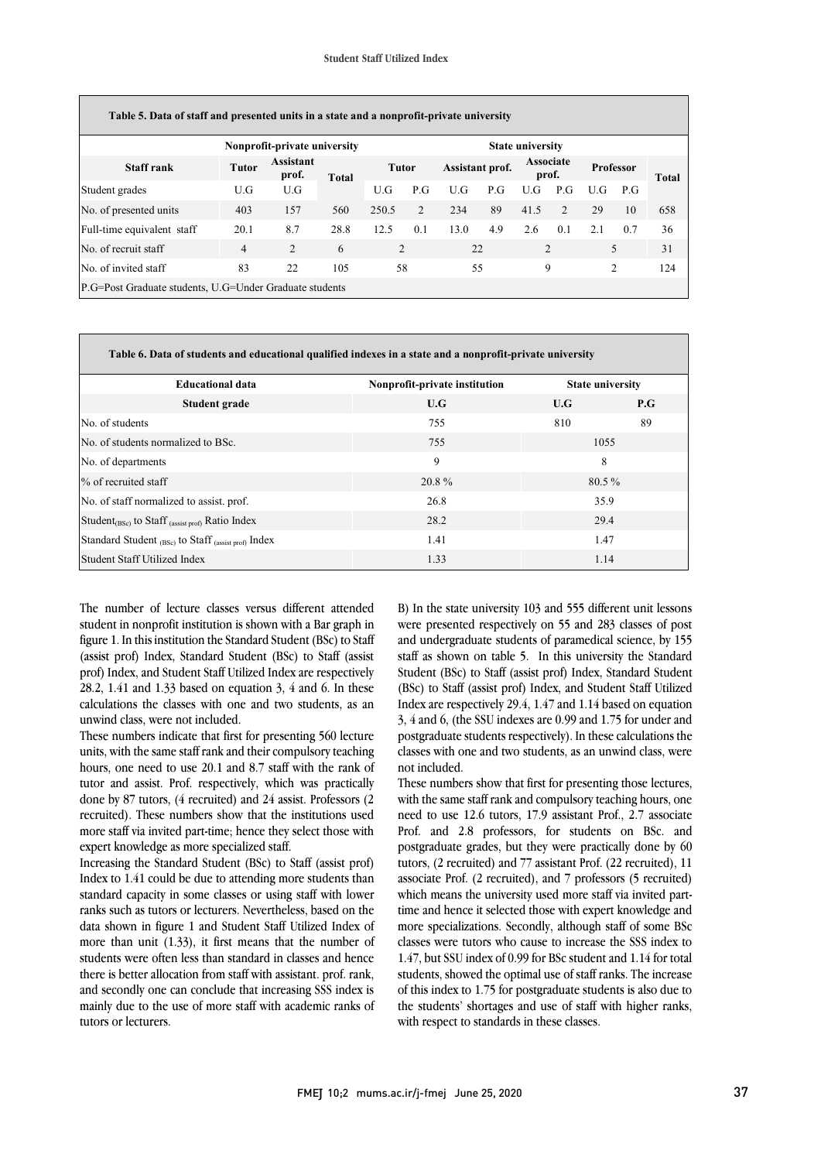|                                                         |                | Nonprofit-private university |       | <b>State university</b> |     |                 |     |                           |                |     |                  |              |
|---------------------------------------------------------|----------------|------------------------------|-------|-------------------------|-----|-----------------|-----|---------------------------|----------------|-----|------------------|--------------|
| <b>Staff rank</b>                                       | <b>Tutor</b>   | <b>Assistant</b><br>prof.    | Total | <b>Tutor</b>            |     | Assistant prof. |     | <b>Associate</b><br>prof. |                |     | <b>Professor</b> | <b>Total</b> |
| Student grades                                          | U.G            | U.G                          |       | U.G                     | P.G | U.G             | P.G | U.G                       | P.G            | ULG | P.G              |              |
| No. of presented units                                  | 403            | 157                          | 560   | 250.5                   | 2   | 234             | 89  | 41.5                      | $\mathfrak{D}$ | 29  | 10               | 658          |
| Full-time equivalent staff                              | 20.1           | 8.7                          | 28.8  | 12.5                    | 0.1 | 13.0            | 4.9 | 2.6                       | 0.1            | 2.1 | 0.7              | 36           |
| No. of recruit staff                                    | $\overline{4}$ | 2                            | 6     | $\overline{c}$          |     | 22              |     | $\overline{c}$            |                |     | 5                | 31           |
| No. of invited staff                                    | 83             | 22                           | 105   | 58                      |     | 55              |     | 9                         |                |     | 2                | 124          |
| P.G=Post Graduate students, U.G=Under Graduate students |                |                              |       |                         |     |                 |     |                           |                |     |                  |              |

| Table 6. Data of students and educational qualified indexes in a state and a nonprofit-private university |                               |          |                         |  |  |  |  |  |
|-----------------------------------------------------------------------------------------------------------|-------------------------------|----------|-------------------------|--|--|--|--|--|
| <b>Educational data</b>                                                                                   | Nonprofit-private institution |          | <b>State university</b> |  |  |  |  |  |
| Student grade                                                                                             | U.G                           | U.G      | P.G                     |  |  |  |  |  |
| No. of students                                                                                           | 755                           | 810      | 89                      |  |  |  |  |  |
| No. of students normalized to BSc.                                                                        | 755                           | 1055     |                         |  |  |  |  |  |
| No. of departments                                                                                        | 9                             | 8        |                         |  |  |  |  |  |
| % of recruited staff                                                                                      | 20.8%                         | $80.5\%$ |                         |  |  |  |  |  |
| No. of staff normalized to assist. prof.                                                                  | 26.8                          | 35.9     |                         |  |  |  |  |  |
| Student <sub>(BSc)</sub> to Staff $_{(assigned)}$ Ratio Index                                             | 28.2                          | 29.4     |                         |  |  |  |  |  |
| Standard Student <sub>(BSc)</sub> to Staff (assist prof) Index                                            | 1.41                          | 1.47     |                         |  |  |  |  |  |
| Student Staff Utilized Index                                                                              | 1.33                          | 1.14     |                         |  |  |  |  |  |

The number of lecture classes versus different attended student in nonprofit institution is shown with a Bar graph in figure 1. In this institution the Standard Student (BSc) to Staff (assist prof) Index, Standard Student (BSc) to Staff (assist prof) Index, and Student Staff Utilized Index are respectively 28.2, 1.41 and 1.33 based on equation 3, 4 and 6. In these calculations the classes with one and two students, as an unwind class, were not included.

These numbers indicate that first for presenting 560 lecture units, with the same staff rank and their compulsory teaching hours, one need to use 20.1 and 8.7 staff with the rank of tutor and assist. Prof. respectively, which was practically done by 87 tutors, (4 recruited) and 24 assist. Professors (2 recruited). These numbers show that the institutions used more staff via invited part-time; hence they select those with expert knowledge as more specialized staff.

Increasing the Standard Student (BSc) to Staff (assist prof) Index to 1.41 could be due to attending more students than standard capacity in some classes or using staff with lower ranks such as tutors or lecturers. Nevertheless, based on the data shown in figure 1 and Student Staff Utilized Index of more than unit (1.33), it first means that the number of students were often less than standard in classes and hence there is better allocation from staff with assistant. prof. rank, and secondly one can conclude that increasing SSS index is mainly due to the use of more staff with academic ranks of tutors or lecturers.

 B) In the state university 103 and 555 different unit lessons were presented respectively on 55 and 283 classes of post and undergraduate students of paramedical science, by 155 Student (BSc) to Staff (assist prof) Index, Standard Student (BSc) to Staff (assist prof) Index, and Student Staff Utilized Index are respectively 29.4, 1.47 and 1.14 based on equation 3, 4 and 6, (the SSU indexes are 0.99 and 1.75 for under and classes with one and two students, as an unwind class, were not included. staff as shown on table 5. In this university the Standard postgraduate students respectively). In these calculations the

 These numbers show that first for presenting those lectures, with the same staff rank and compulsory teaching hours, one postgraduate grades, but they were practically done by 60 tutors, (2 recruited) and 77 assistant Prof. (22 recruited), 11 associate Prof. (2 recruited), and 7 professors (5 recruited) time and hence it selected those with expert knowledge and more specializations. Secondly, although staff of some BSc classes were tutors who cause to increase the SSS index to need to use 12.6 tutors, 17.9 assistant Prof., 2.7 associate Prof. and 2.8 professors, for students on BSc. and which means the university used more staff via invited part-1.47, but SSU index of 0.99 for BSc student and 1.14 for total students, showed the optimal use of staff ranks. The increase of this index to 1.75 for postgraduate students is also due to the students' shortages and use of staff with higher ranks, with respect to standards in these classes.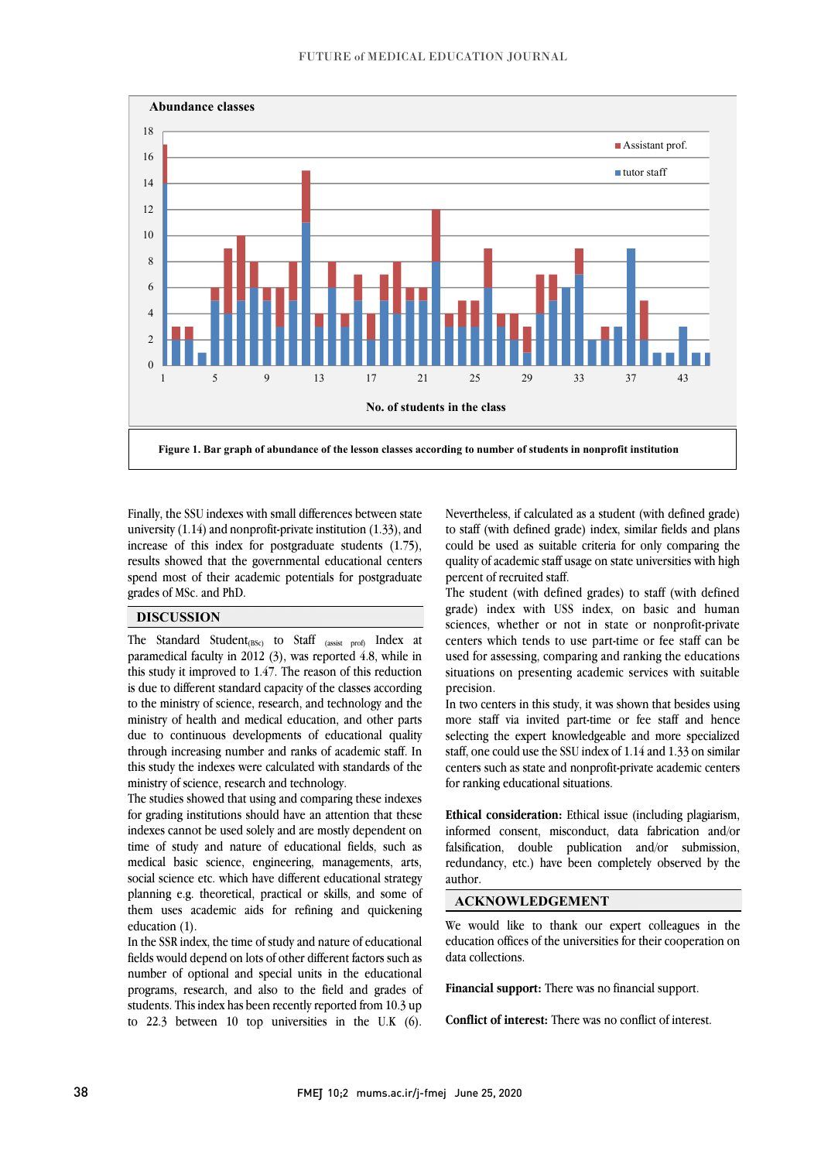

Finally, the SSU indexes with small differences between state university  $(1.14)$  and nonprofit-private institution  $(1.33)$ , and increase of this index for postgraduate students (1.75), results showed that the governmental educational centers spend most of their academic potentials for postgraduate grades of MSc. and PhD.

#### **DISCUSSION**

The Standard Student(BSc) to Staff (assist prof) Index at paramedical faculty in 2012 (3), was reported 4.8, while in this study it improved to 1.47. The reason of this reduction is due to different standard capacity of the classes according to the ministry of science, research, and technology and the ministry of health and medical education, and other parts due to continuous developments of educational quality through increasing number and ranks of academic staff. In this study the indexes were calculated with standards of the ministry of science, research and technology.

The studies showed that using and comparing these indexes for grading institutions should have an attention that these indexes cannot be used solely and are mostly dependent on time of study and nature of educational fields, such as medical basic science, engineering, managements, arts, social science etc. which have different educational strategy planning e.g. theoretical, practical or skills, and some of them uses academic aids for refining and quickening education (1).

In the SSR index, the time of study and nature of educational fields would depend on lots of other different factors such as number of optional and special units in the educational programs, research, and also to the field and grades of students. This index has been recently reported from 10.3 up to 22.3 between 10 top universities in the U.K (6). Nevertheless, if calculated as a student (with defined grade) to staff (with defined grade) index, similar fields and plans could be used as suitable criteria for only comparing the quality of academic staff usage on state universities with high percent of recruited staff.

The student (with defined grades) to staff (with defined grade) index with USS index, on basic and human sciences, whether or not in state or nonprofit-private centers which tends to use part-time or fee staff can be used for assessing, comparing and ranking the educations situations on presenting academic services with suitable precision.

In two centers in this study, it was shown that besides using more staff via invited part-time or fee staff and hence selecting the expert knowledgeable and more specialized staff, one could use the SSU index of 1.14 and 1.33 on similar centers such as state and nonprofit-private academic centers for ranking educational situations.

**Ethical consideration:** Ethical issue (including plagiarism, informed consent, misconduct, data fabrication and/or falsification, double publication and/or submission, redundancy, etc.) have been completely observed by the author.

#### **ACKNOWLEDGEMENT**

We would like to thank our expert colleagues in the education offices of the universities for their cooperation on data collections.

**Financial support:** There was no financial support.

**Conflict of interest:** There was no conflict of interest.